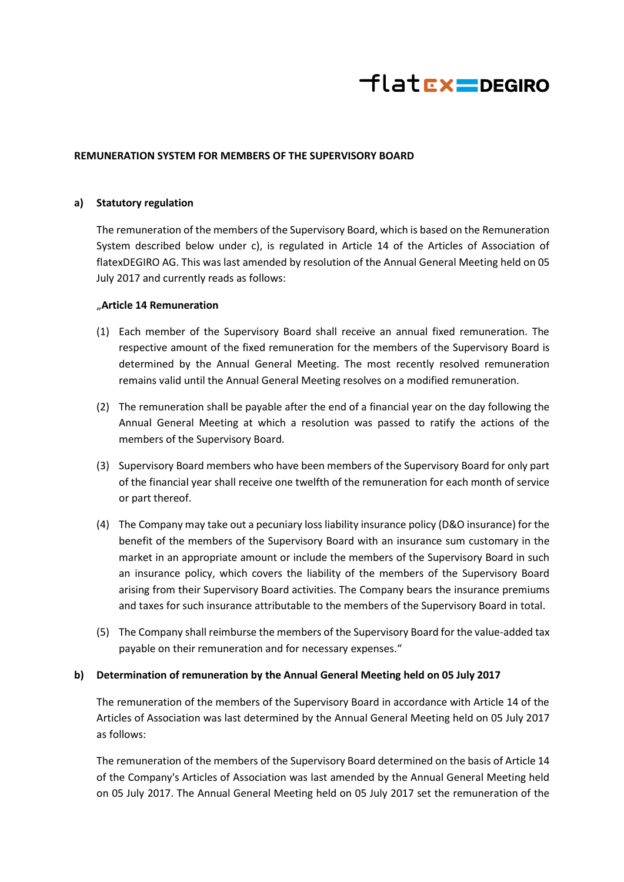

## **REMUNERATION SYSTEM FOR MEMBERS OF THE SUPERVISORY BOARD**

## **a) Statutory regulation**

The remuneration of the members of the Supervisory Board, which is based on the Remuneration System described below under c), is regulated in Article 14 of the Articles of Association of flatexDEGIRO AG. This was last amended by resolution of the Annual General Meeting held on 05 July 2017 and currently reads as follows:

#### "**Article 14 Remuneration**

- (1) Each member of the Supervisory Board shall receive an annual fixed remuneration. The respective amount of the fixed remuneration for the members of the Supervisory Board is determined by the Annual General Meeting. The most recently resolved remuneration remains valid until the Annual General Meeting resolves on a modified remuneration.
- (2) The remuneration shall be payable after the end of a financial year on the day following the Annual General Meeting at which a resolution was passed to ratify the actions of the members of the Supervisory Board.
- (3) Supervisory Board members who have been members of the Supervisory Board for only part of the financial year shall receive one twelfth of the remuneration for each month of service or part thereof.
- (4) The Company may take out a pecuniary loss liability insurance policy (D&O insurance) for the benefit of the members of the Supervisory Board with an insurance sum customary in the market in an appropriate amount or include the members of the Supervisory Board in such an insurance policy, which covers the liability of the members of the Supervisory Board arising from their Supervisory Board activities. The Company bears the insurance premiums and taxes for such insurance attributable to the members of the Supervisory Board in total.
- (5) The Company shall reimburse the members of the Supervisory Board for the value-added tax payable on their remuneration and for necessary expenses."

## **b) Determination of remuneration by the Annual General Meeting held on 05 July 2017**

The remuneration of the members of the Supervisory Board in accordance with Article 14 of the Articles of Association was last determined by the Annual General Meeting held on 05 July 2017 as follows:

The remuneration of the members of the Supervisory Board determined on the basis of Article 14 of the Company's Articles of Association was last amended by the Annual General Meeting held on 05 July 2017. The Annual General Meeting held on 05 July 2017 set the remuneration of the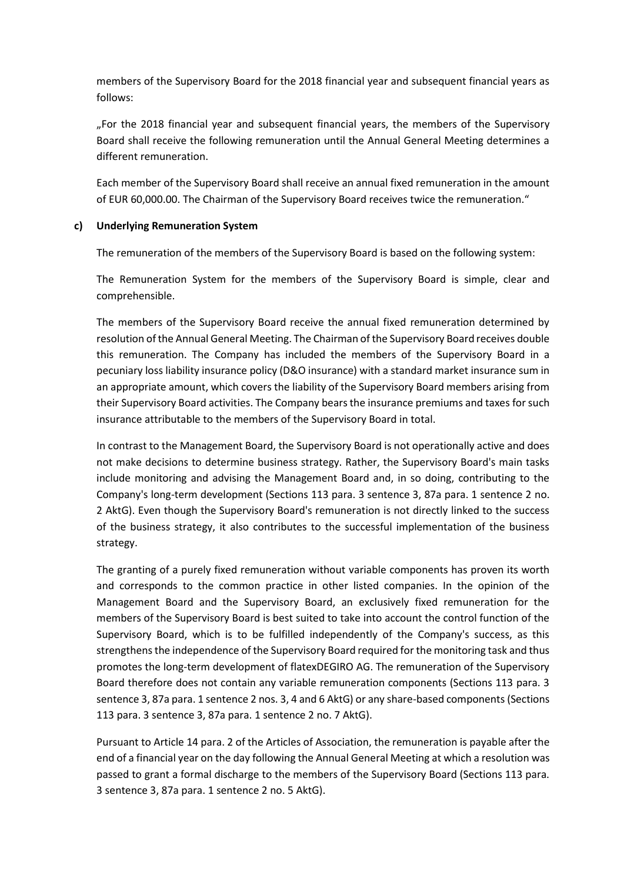members of the Supervisory Board for the 2018 financial year and subsequent financial years as follows:

"For the 2018 financial year and subsequent financial years, the members of the Supervisory Board shall receive the following remuneration until the Annual General Meeting determines a different remuneration.

Each member of the Supervisory Board shall receive an annual fixed remuneration in the amount of EUR 60,000.00. The Chairman of the Supervisory Board receives twice the remuneration."

# **c) Underlying Remuneration System**

The remuneration of the members of the Supervisory Board is based on the following system:

The Remuneration System for the members of the Supervisory Board is simple, clear and comprehensible.

The members of the Supervisory Board receive the annual fixed remuneration determined by resolution of the Annual General Meeting. The Chairman of the Supervisory Board receives double this remuneration. The Company has included the members of the Supervisory Board in a pecuniary loss liability insurance policy (D&O insurance) with a standard market insurance sum in an appropriate amount, which covers the liability of the Supervisory Board members arising from their Supervisory Board activities. The Company bears the insurance premiums and taxes for such insurance attributable to the members of the Supervisory Board in total.

In contrast to the Management Board, the Supervisory Board is not operationally active and does not make decisions to determine business strategy. Rather, the Supervisory Board's main tasks include monitoring and advising the Management Board and, in so doing, contributing to the Company's long-term development (Sections 113 para. 3 sentence 3, 87a para. 1 sentence 2 no. 2 AktG). Even though the Supervisory Board's remuneration is not directly linked to the success of the business strategy, it also contributes to the successful implementation of the business strategy.

The granting of a purely fixed remuneration without variable components has proven its worth and corresponds to the common practice in other listed companies. In the opinion of the Management Board and the Supervisory Board, an exclusively fixed remuneration for the members of the Supervisory Board is best suited to take into account the control function of the Supervisory Board, which is to be fulfilled independently of the Company's success, as this strengthens the independence of the Supervisory Board required for the monitoring task and thus promotes the long-term development of flatexDEGIRO AG. The remuneration of the Supervisory Board therefore does not contain any variable remuneration components (Sections 113 para. 3 sentence 3, 87a para. 1 sentence 2 nos. 3, 4 and 6 AktG) or any share-based components (Sections 113 para. 3 sentence 3, 87a para. 1 sentence 2 no. 7 AktG).

Pursuant to Article 14 para. 2 of the Articles of Association, the remuneration is payable after the end of a financial year on the day following the Annual General Meeting at which a resolution was passed to grant a formal discharge to the members of the Supervisory Board (Sections 113 para. 3 sentence 3, 87a para. 1 sentence 2 no. 5 AktG).